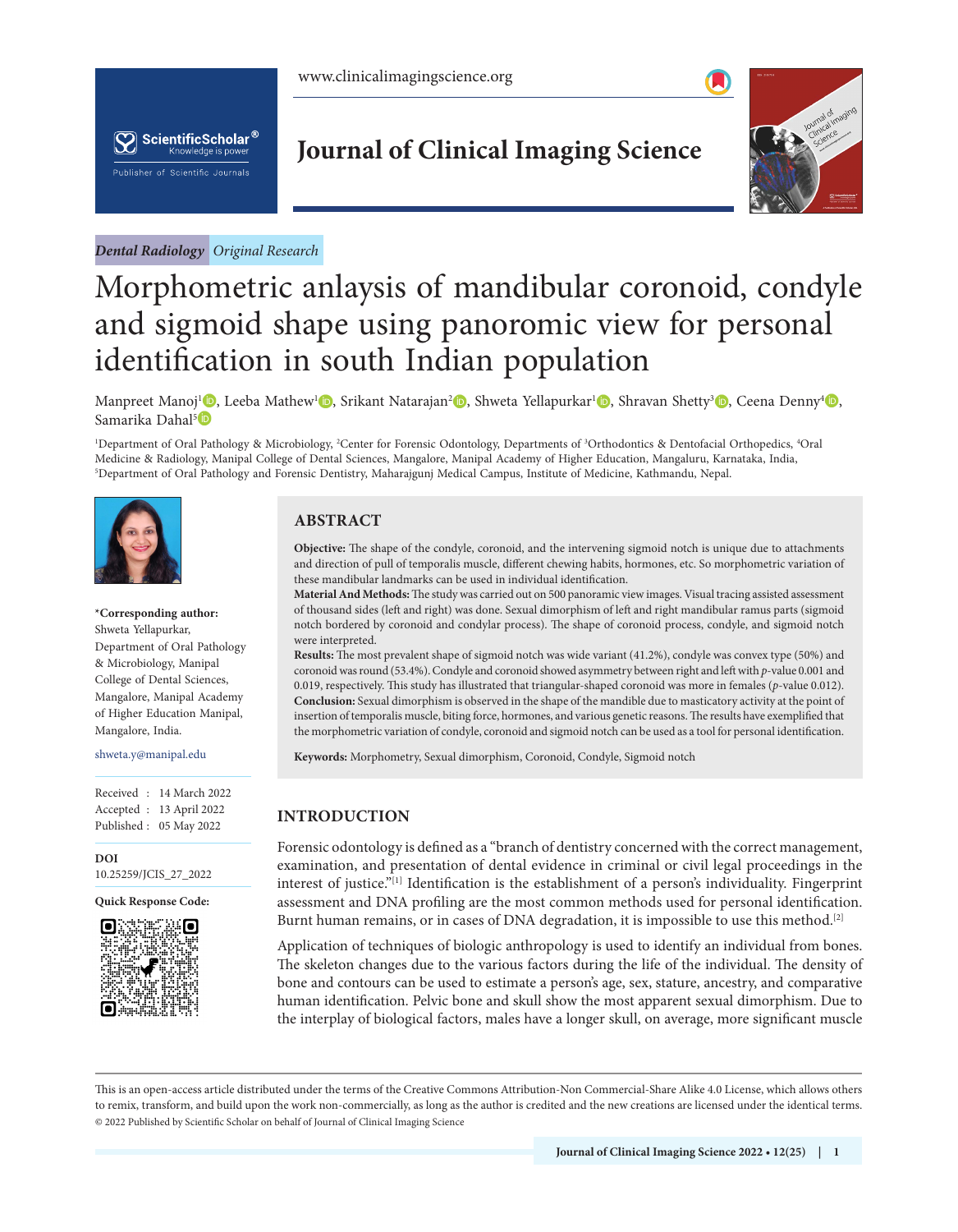

*Dental Radiology Original Research*

## **Journal of Clinical Imaging Science**

<span id="page-0-1"></span>

# Morphometric anlaysis of mandibular coronoid, condyle and sigmoid shape using panoromic view for personal identification in south Indian population

Manpreet Manoj<sup>1</sup> [,](https://orcid.org/0000-0001-7796-5079) Leeba Mathew<sup>1</sup> , Srikant Natarajan<sup>2</sup> , Shweta Yellapurkar<sup>1</sup> , Shravan Shetty<sup>3</sup> , Ceena Denny<sup>4</sup> , Samarika Dahal<sup>5</sup>

1 Department of Oral Pathology & Microbiology, 2 Center for Forensic Odontology, Departments of 3 Orthodontics & Dentofacial Orthopedics, 4 Oral Medicine & Radiology, Manipal College of Dental Sciences, Mangalore, Manipal Academy of Higher Education, Mangaluru, Karnataka, India, 5 Department of Oral Pathology and Forensic Dentistry, Maharajgunj Medical Campus, Institute of Medicine, Kathmandu, Nepal.



#### **\*Corresponding author:** Shweta Yellapurkar, Department of Oral Pathology & Microbiology, Manipal College of Dental Sciences, Mangalore, Manipal Academy of Higher Education Manipal, Mangalore, India.

#### shweta.y@manipal.edu

Received : 14 March 2022 Accepted : 13 April 2022 Published : 05 May 2022

**DOI** 10.25259/JCIS\_27\_2022

**Quick Response Code:**



#### **ABSTRACT**

**Objective:** The shape of the condyle, coronoid, and the intervening sigmoid notch is unique due to attachments and direction of pull of temporalis muscle, different chewing habits, hormones, etc. So morphometric variation of these mandibular landmarks can be used in individual identification.

**Material And Methods:** The study was carried out on 500 panoramic view images. Visual tracing assisted assessment of thousand sides (left and right) was done. Sexual dimorphism of left and right mandibular ramus parts (sigmoid notch bordered by coronoid and condylar process). The shape of coronoid process, condyle, and sigmoid notch were interpreted.

**Results:** The most prevalent shape of sigmoid notch was wide variant (41.2%), condyle was convex type (50%) and coronoid was round (53.4%). Condyle and coronoid showed asymmetry between right and left with *p*-value 0.001 and 0.019, respectively. This study has illustrated that triangular-shaped coronoid was more in females (*p*-value 0.012). **Conclusion:** Sexual dimorphism is observed in the shape of the mandible due to masticatory activity at the point of insertion of temporalis muscle, biting force, hormones, and various genetic reasons. The results have exemplified that the morphometric variation of condyle, coronoid and sigmoid notch can be used as a tool for personal identification.

**Keywords:** Morphometry, Sexual dimorphism, Coronoid, Condyle, Sigmoid notch

### **INTRODUCTION**

<span id="page-0-0"></span>Forensic odontology is defined as a "branch of dentistry concerned with the correct management, examination, and presentation of dental evidence in criminal or civil legal proceedings in the interest of justice."[[1](#page-4-0)] Identification is the establishment of a person's individuality. Fingerprint assessment and DNA profiling are the most common methods used for personal identification. Burnt human remains, or in cases of DNA degradation, it is impossible to use this method.<sup>[[2](#page-4-1)]</sup>

Application of techniques of biologic anthropology is used to identify an individual from bones. The skeleton changes due to the various factors during the life of the individual. The density of bone and contours can be used to estimate a person's age, sex, stature, ancestry, and comparative human identification. Pelvic bone and skull show the most apparent sexual dimorphism. Due to the interplay of biological factors, males have a longer skull, on average, more significant muscle

This is an open-access article distributed under the terms of the Creative Commons Attribution-Non Commercial-Share Alike 4.0 License, which allows others to remix, transform, and build upon the work non-commercially, as long as the author is credited and the new creations are licensed under the identical terms. © 2022 Published by Scientific Scholar on behalf of Journal of Clinical Imaging Science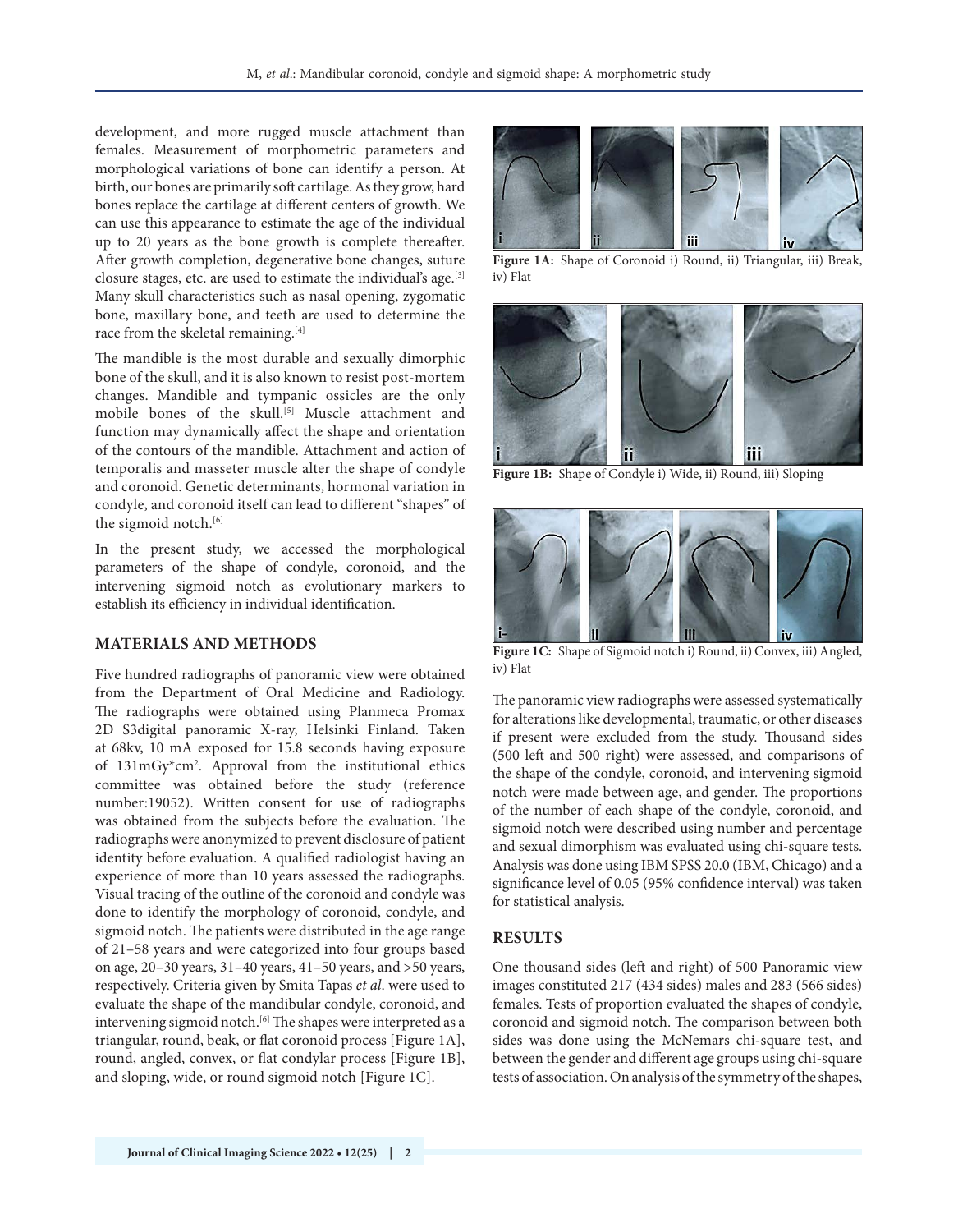development, and more rugged muscle attachment than females. Measurement of morphometric parameters and morphological variations of bone can identify a person. At birth, our bones are primarily soft cartilage. As they grow, hard bones replace the cartilage at different centers of growth. We can use this appearance to estimate the age of the individual up to 20 years as the bone growth is complete thereafter. After growth completion, degenerative bone changes, suture closure stages, etc. are used to estimate the individual's age.[[3](#page-4-2)] Many skull characteristics such as nasal opening, zygomatic bone, maxillary bone, and teeth are used to determine the race from the skeletal remaining.<sup>[[4\]](#page-4-3)</sup>

The mandible is the most durable and sexually dimorphic bone of the skull, and it is also known to resist post-mortem changes. Mandible and tympanic ossicles are the only mobile bones of the skull.<sup>[[5](#page-5-0)]</sup> Muscle attachment and function may dynamically affect the shape and orientation of the contours of the mandible. Attachment and action of temporalis and masseter muscle alter the shape of condyle and coronoid. Genetic determinants, hormonal variation in condyle, and coronoid itself can lead to different "shapes" of the sigmoid notch.<sup>[[6\]](#page-5-1)</sup>

In the present study, we accessed the morphological parameters of the shape of condyle, coronoid, and the intervening sigmoid notch as evolutionary markers to establish its efficiency in individual identification.

#### **MATERIALS AND METHODS**

<span id="page-1-5"></span><span id="page-1-4"></span><span id="page-1-3"></span>Five hundred radiographs of panoramic view were obtained from the Department of Oral Medicine and Radiology. The radiographs were obtained using Planmeca Promax 2D S3digital panoramic X-ray, Helsinki Finland. Taken at 68kv, 10 mA exposed for 15.8 seconds having exposure of 131mGy\*cm2 . Approval from the institutional ethics committee was obtained before the study (reference number:19052). Written consent for use of radiographs was obtained from the subjects before the evaluation. The radiographs were anonymized to prevent disclosure of patient identity before evaluation. A qualified radiologist having an experience of more than 10 years assessed the radiographs. Visual tracing of the outline of the coronoid and condyle was done to identify the morphology of coronoid, condyle, and sigmoid notch. The patients were distributed in the age range of 21–58 years and were categorized into four groups based on age, 20–30 years, 31–40 years, 41–50 years, and >50 years, respectively. Criteria given by Smita Tapas *et al*. were used to evaluate the shape of the mandibular condyle, coronoid, and intervening sigmoid notch.<sup>[[6](#page-5-1)]</sup> The shapes were interpreted as a triangular, round, beak, or flat coronoid process [[Figure 1A\]](#page-1-0), round, angled, convex, or flat condylar process [[Figure 1B\]](#page-1-1), and sloping, wide, or round sigmoid notch [[Figure 1C\]](#page-1-2).



**[Figure 1A:](#page-1-3)** Shape of Coronoid i) Round, ii) Triangular, iii) Break, iv) Flat

<span id="page-1-8"></span><span id="page-1-7"></span><span id="page-1-6"></span><span id="page-1-0"></span>

**[Figure 1B:](#page-1-4)** Shape of Condyle i) Wide, ii) Round, iii) Sloping

<span id="page-1-9"></span><span id="page-1-1"></span>

**[Figure 1C:](#page-1-5)** Shape of Sigmoid notch i) Round, ii) Convex, iii) Angled, iv) Flat

<span id="page-1-2"></span>The panoramic view radiographs were assessed systematically for alterations like developmental, traumatic, or other diseases if present were excluded from the study. Thousand sides (500 left and 500 right) were assessed, and comparisons of the shape of the condyle, coronoid, and intervening sigmoid notch were made between age, and gender. The proportions of the number of each shape of the condyle, coronoid, and sigmoid notch were described using number and percentage and sexual dimorphism was evaluated using chi-square tests. Analysis was done using IBM SPSS 20.0 (IBM, Chicago) and a significance level of 0.05 (95% confidence interval) was taken for statistical analysis.

#### **RESULTS**

One thousand sides (left and right) of 500 Panoramic view images constituted 217 (434 sides) males and 283 (566 sides) females. Tests of proportion evaluated the shapes of condyle, coronoid and sigmoid notch. The comparison between both sides was done using the McNemars chi-square test, and between the gender and different age groups using chi-square tests of association. On analysis of the symmetry of the shapes,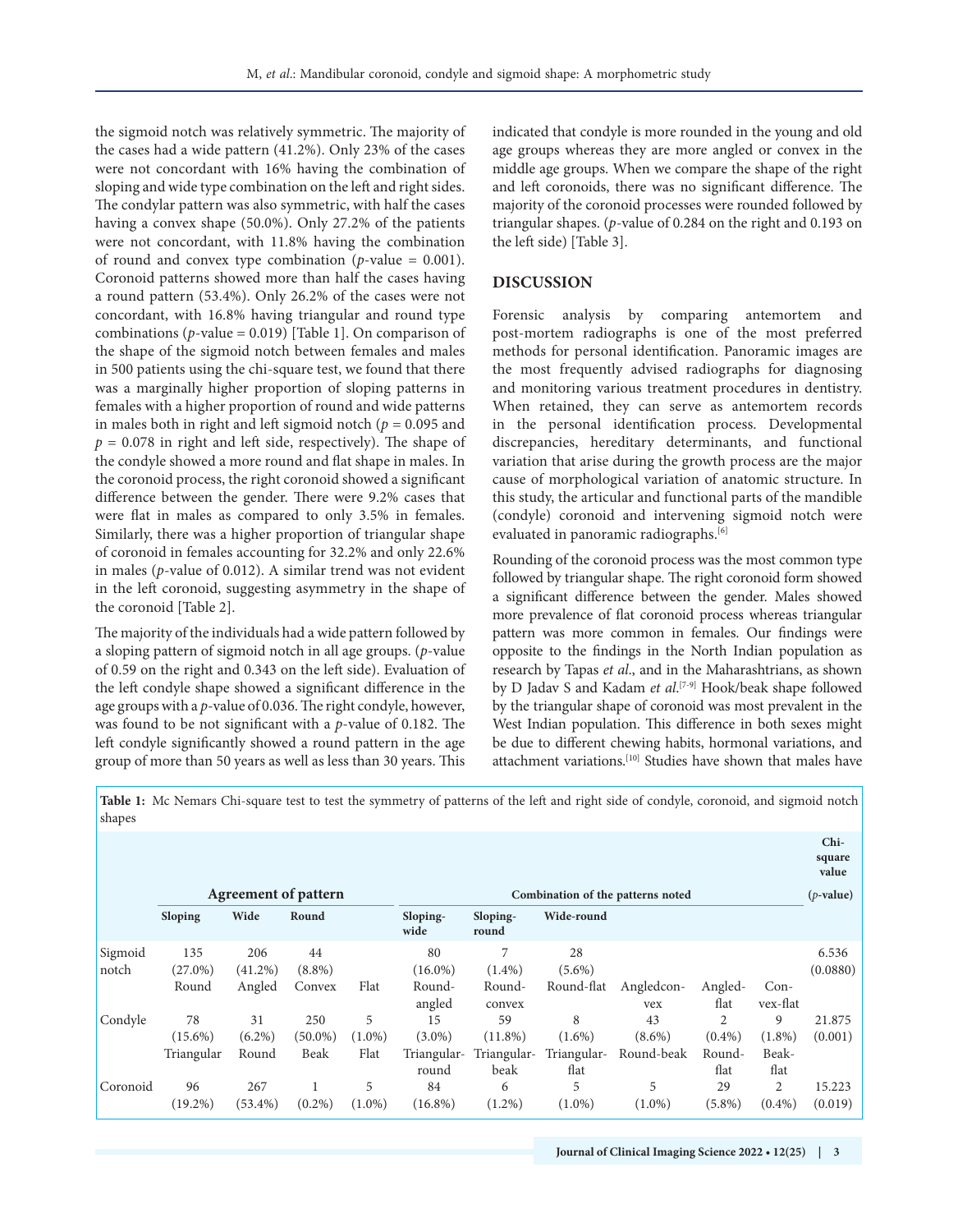the sigmoid notch was relatively symmetric. The majority of the cases had a wide pattern (41.2%). Only 23% of the cases were not concordant with 16% having the combination of sloping and wide type combination on the left and right sides. The condylar pattern was also symmetric, with half the cases having a convex shape (50.0%). Only 27.2% of the patients were not concordant, with 11.8% having the combination of round and convex type combination ( $p$ -value = 0.001). Coronoid patterns showed more than half the cases having a round pattern (53.4%). Only 26.2% of the cases were not concordant, with 16.8% having triangular and round type combinations (*p*-value = 0.019) [[Table 1\]](#page-2-0). On comparison of the shape of the sigmoid notch between females and males in 500 patients using the chi-square test, we found that there was a marginally higher proportion of sloping patterns in females with a higher proportion of round and wide patterns in males both in right and left sigmoid notch ( $p = 0.095$  and  $p = 0.078$  in right and left side, respectively). The shape of the condyle showed a more round and flat shape in males. In the coronoid process, the right coronoid showed a significant difference between the gender. There were 9.2% cases that were flat in males as compared to only 3.5% in females. Similarly, there was a higher proportion of triangular shape of coronoid in females accounting for 32.2% and only 22.6% in males (*p*-value of 0.012). A similar trend was not evident in the left coronoid, suggesting asymmetry in the shape of the coronoid [[Table 2\]](#page-3-0).

<span id="page-2-2"></span>The majority of the individuals had a wide pattern followed by a sloping pattern of sigmoid notch in all age groups. (*p*-value of 0.59 on the right and 0.343 on the left side). Evaluation of the left condyle shape showed a significant difference in the age groups with a *p*-value of 0.036. The right condyle, however, was found to be not significant with a *p*-value of 0.182. The left condyle significantly showed a round pattern in the age group of more than 50 years as well as less than 30 years. This indicated that condyle is more rounded in the young and old age groups whereas they are more angled or convex in the middle age groups. When we compare the shape of the right and left coronoids, there was no significant difference. The majority of the coronoid processes were rounded followed by triangular shapes. (*p*-value of 0.284 on the right and 0.193 on the left side) [\[Table 3\]](#page-4-4).

#### <span id="page-2-3"></span>**DISCUSSION**

<span id="page-2-1"></span>Forensic analysis by comparing antemortem and post-mortem radiographs is one of the most preferred methods for personal identification. Panoramic images are the most frequently advised radiographs for diagnosing and monitoring various treatment procedures in dentistry. When retained, they can serve as antemortem records in the personal identification process. Developmental discrepancies, hereditary determinants, and functional variation that arise during the growth process are the major cause of morphological variation of anatomic structure. In this study, the articular and functional parts of the mandible (condyle) coronoid and intervening sigmoid notch were evaluated in panoramic radiographs.<sup>[\[6](#page-5-1)]</sup>

Rounding of the coronoid process was the most common type followed by triangular shape. The right coronoid form showed a significant difference between the gender. Males showed more prevalence of flat coronoid process whereas triangular pattern was more common in females. Our findings were opposite to the findings in the North Indian population as research by Tapas *et al*., and in the Maharashtrians, as shown by D Jadav S and Kadam *et al*.<sup>[\[7-](#page-5-2)[9\]](#page-5-3)</sup> Hook/beak shape followed by the triangular shape of coronoid was most prevalent in the West Indian population. This difference in both sexes might be due to different chewing habits, hormonal variations, and attachment variations.<sup>[\[10\]](#page-5-4)</sup> Studies have shown that males have

<span id="page-2-6"></span><span id="page-2-5"></span><span id="page-2-4"></span>**Chi-**

<span id="page-2-0"></span>**[Table 1:](#page-2-1)** Mc Nemars Chi-square test to test the symmetry of patterns of the left and right side of condyle, coronoid, and sigmoid notch shapes

|                  |                                |                          |                           |                        |                                         |                                         |                                       |                               |                                               |                                 | UII-<br>square<br>value |
|------------------|--------------------------------|--------------------------|---------------------------|------------------------|-----------------------------------------|-----------------------------------------|---------------------------------------|-------------------------------|-----------------------------------------------|---------------------------------|-------------------------|
|                  | <b>Agreement of pattern</b>    |                          |                           |                        | Combination of the patterns noted       |                                         |                                       |                               |                                               |                                 |                         |
|                  | Sloping                        | Wide                     | Round                     |                        | Sloping-<br>wide                        | Sloping-<br>round                       | Wide-round                            |                               |                                               |                                 |                         |
| Sigmoid<br>notch | 135<br>$(27.0\%)$              | 206<br>$(41.2\%)$        | 44<br>$(8.8\%)$           |                        | 80<br>$(16.0\%)$                        | 7<br>$(1.4\%)$                          | 28<br>$(5.6\%)$                       |                               |                                               |                                 | 6.536<br>(0.0880)       |
|                  | Round                          | Angled                   | Convex                    | Flat                   | Round-<br>angled                        | Round-<br>convex                        | Round-flat                            | Angledcon-<br>vex             | Angled-<br>flat                               | $Con-$<br>vex-flat              |                         |
| Condyle          | 78<br>$(15.6\%)$<br>Triangular | 31<br>$(6.2\%)$<br>Round | 250<br>$(50.0\%)$<br>Beak | 5<br>$(1.0\%)$<br>Flat | 15<br>$(3.0\%)$<br>Triangular-<br>round | 59<br>$(11.8\%)$<br>Triangular-<br>beak | 8<br>$(1.6\%)$<br>Triangular-<br>flat | 43<br>$(8.6\%)$<br>Round-beak | $\overline{2}$<br>$(0.4\%)$<br>Round-<br>flat | 9<br>$(1.8\%)$<br>Beak-<br>flat | 21.875<br>(0.001)       |
| Coronoid         | 96<br>$(19.2\%)$               | 267<br>$(53.4\%)$        | $(0.2\%)$                 | 5<br>$(1.0\%)$         | 84<br>$(16.8\%)$                        | 6<br>$(1.2\%)$                          | 5<br>$(1.0\%)$                        | 5<br>$(1.0\%)$                | 29<br>$(5.8\%)$                               | 2<br>$(0.4\%)$                  | 15.223<br>(0.019)       |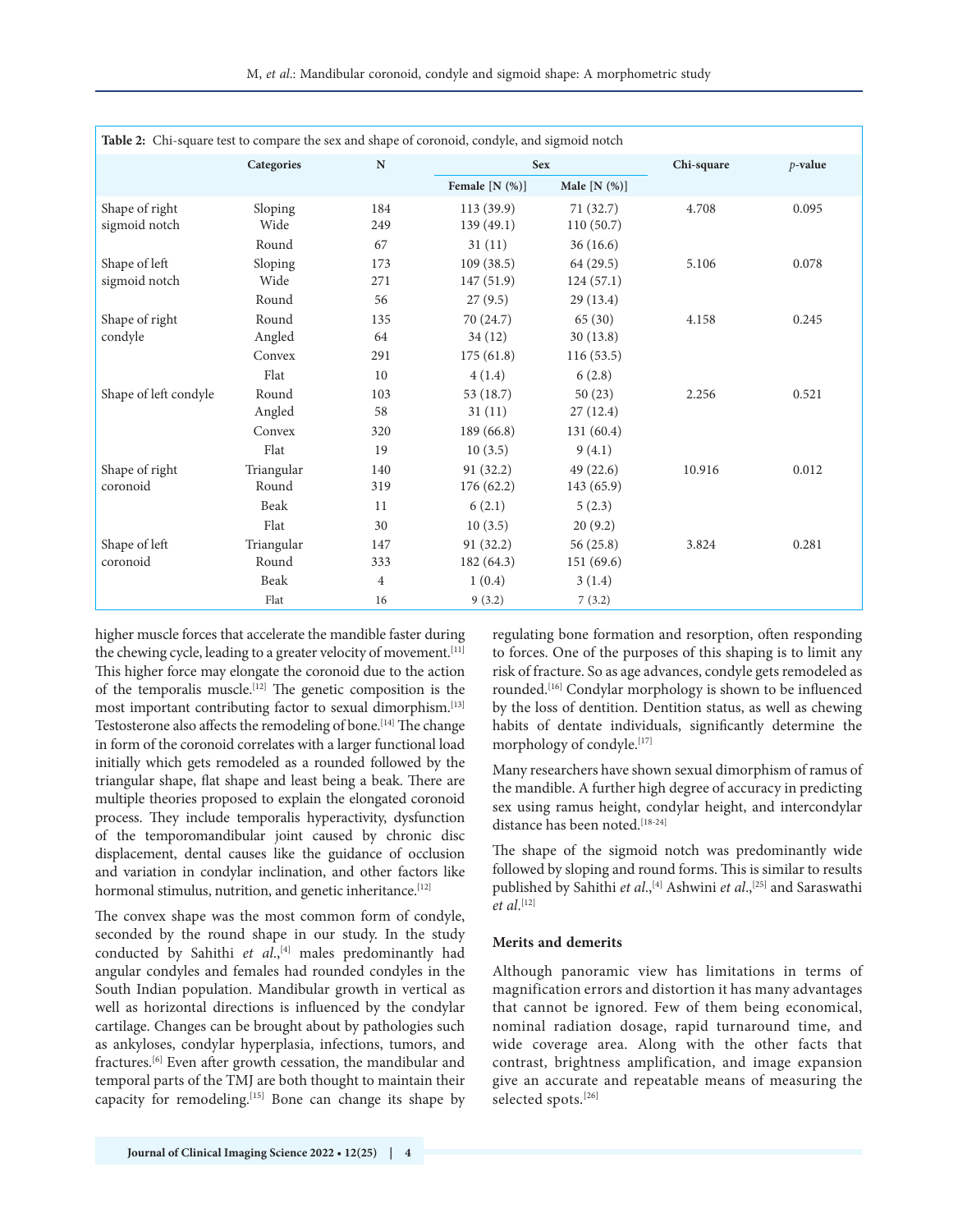M, *et al*.: Mandibular coronoid, condyle and sigmoid shape: A morphometric study

<span id="page-3-0"></span>

| Table 2: Chi-square test to compare the sex and shape of coronoid, condyle, and sigmoid notch |            |                |                  |                |            |            |  |  |
|-----------------------------------------------------------------------------------------------|------------|----------------|------------------|----------------|------------|------------|--|--|
|                                                                                               | Categories | ${\bf N}$      | <b>Sex</b>       |                | Chi-square | $p$ -value |  |  |
|                                                                                               |            |                | Female $[N (%)]$ | Male $[N (%)]$ |            |            |  |  |
| Shape of right                                                                                | Sloping    | 184            | 113 (39.9)       | 71(32.7)       | 4.708      | 0.095      |  |  |
| sigmoid notch                                                                                 | Wide       | 249            | 139 (49.1)       | 110(50.7)      |            |            |  |  |
|                                                                                               | Round      | 67             | 31(11)           | 36(16.6)       |            |            |  |  |
| Shape of left                                                                                 | Sloping    | 173            | 109(38.5)        | 64(29.5)       | 5.106      | 0.078      |  |  |
| sigmoid notch                                                                                 | Wide       | 271            | 147 (51.9)       | 124(57.1)      |            |            |  |  |
|                                                                                               | Round      | 56             | 27(9.5)          | 29 (13.4)      |            |            |  |  |
| Shape of right                                                                                | Round      | 135            | 70 (24.7)        | 65(30)         | 4.158      | 0.245      |  |  |
| condyle                                                                                       | Angled     | 64             | 34(12)           | 30(13.8)       |            |            |  |  |
|                                                                                               | Convex     | 291            | 175(61.8)        | 116(53.5)      |            |            |  |  |
|                                                                                               | Flat       | 10             | 4(1.4)           | 6(2.8)         |            |            |  |  |
| Shape of left condyle                                                                         | Round      | 103            | 53 (18.7)        | 50(23)         | 2.256      | 0.521      |  |  |
|                                                                                               | Angled     | 58             | 31(11)           | 27(12.4)       |            |            |  |  |
|                                                                                               | Convex     | 320            | 189 (66.8)       | 131 (60.4)     |            |            |  |  |
|                                                                                               | Flat       | 19             | 10(3.5)          | 9(4.1)         |            |            |  |  |
| Shape of right                                                                                | Triangular | 140            | 91(32.2)         | 49(22.6)       | 10.916     | 0.012      |  |  |
| coronoid                                                                                      | Round      | 319            | 176(62.2)        | 143 (65.9)     |            |            |  |  |
|                                                                                               | Beak       | 11             | 6(2.1)           | 5(2.3)         |            |            |  |  |
|                                                                                               | Flat       | 30             | 10(3.5)          | 20(9.2)        |            |            |  |  |
| Shape of left                                                                                 | Triangular | 147            | 91 (32.2)        | 56(25.8)       | 3.824      | 0.281      |  |  |
| coronoid                                                                                      | Round      | 333            | 182 (64.3)       | 151 (69.6)     |            |            |  |  |
|                                                                                               | Beak       | $\overline{4}$ | 1(0.4)           | 3(1.4)         |            |            |  |  |
|                                                                                               | Flat       | 16             | 9(3.2)           | 7(3.2)         |            |            |  |  |

higher muscle forces that accelerate the mandible faster during the chewing cycle, leading to a greater velocity of movement.<sup>[\[11](#page-5-12)]</sup> This higher force may elongate the coronoid due to the action of the temporalis muscle.<sup>[[12](#page-5-10)]</sup> The genetic composition is the most important contributing factor to sexual dimorphism.[\[13](#page-5-13)] Testosterone also affects the remodeling of bone.<sup>[[14](#page-5-14)]</sup> The change in form of the coronoid correlates with a larger functional load initially which gets remodeled as a rounded followed by the triangular shape, flat shape and least being a beak. There are multiple theories proposed to explain the elongated coronoid process. They include temporalis hyperactivity, dysfunction of the temporomandibular joint caused by chronic disc displacement, dental causes like the guidance of occlusion and variation in condylar inclination, and other factors like hormonal stimulus, nutrition, and genetic inheritance.<sup>[\[12](#page-5-10)]</sup>

The convex shape was the most common form of condyle, seconded by the round shape in our study. In the study conducted by Sahithi et al.,<sup>[\[4\]](#page-4-3)</sup> males predominantly had angular condyles and females had rounded condyles in the South Indian population. Mandibular growth in vertical as well as horizontal directions is influenced by the condylar cartilage. Changes can be brought about by pathologies such as ankyloses, condylar hyperplasia, infections, tumors, and fractures.<sup>[\[6\]](#page-5-1)</sup> Even after growth cessation, the mandibular and temporal parts of the TMJ are both thought to maintain their capacity for remodeling.<sup>[\[15\]](#page-5-15)</sup> Bone can change its shape by <span id="page-3-9"></span><span id="page-3-5"></span><span id="page-3-4"></span>regulating bone formation and resorption, often responding to forces. One of the purposes of this shaping is to limit any risk of fracture. So as age advances, condyle gets remodeled as rounded.<sup>[[16\]](#page-5-5)</sup> Condylar morphology is shown to be influenced by the loss of dentition. Dentition status, as well as chewing habits of dentate individuals, significantly determine the morphology of condyle.[\[17\]](#page-5-6)

<span id="page-3-10"></span><span id="page-3-7"></span><span id="page-3-6"></span>Many researchers have shown sexual dimorphism of ramus of the mandible. A further high degree of accuracy in predicting sex using ramus height, condylar height, and intercondylar distance has been noted.[[18-](#page-5-7)[24](#page-5-8)]

<span id="page-3-11"></span><span id="page-3-2"></span><span id="page-3-1"></span>The shape of the sigmoid notch was predominantly wide followed by sloping and round forms. This is similar to results published by Sahithi *et al*.,<sup>[\[4](#page-4-3)]</sup> Ashwini *et al.*,<sup>[\[25\]](#page-5-9)</sup> and Saraswathi *et al*. [\[12\]](#page-5-10)

#### **Merits and demerits**

<span id="page-3-8"></span><span id="page-3-3"></span>Although panoramic view has limitations in terms of magnification errors and distortion it has many advantages that cannot be ignored. Few of them being economical, nominal radiation dosage, rapid turnaround time, and wide coverage area. Along with the other facts that contrast, brightness amplification, and image expansion give an accurate and repeatable means of measuring the selected spots.<sup>[[26](#page-5-11)]</sup>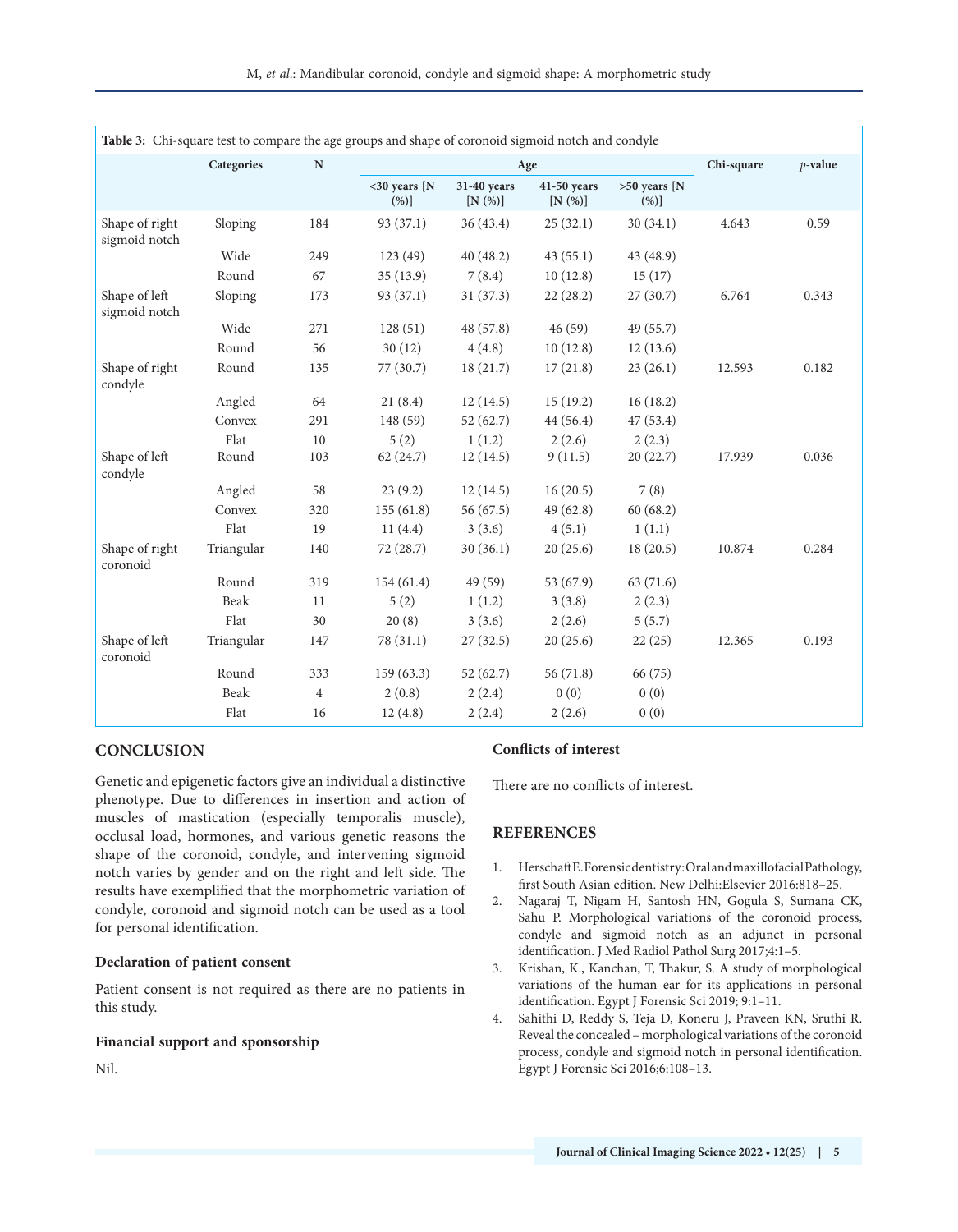<span id="page-4-4"></span>

| Table 3: Chi-square test to compare the age groups and shape of coronoid sigmoid notch and condyle |            |                |                         |                          |                         |                           |        |       |  |
|----------------------------------------------------------------------------------------------------|------------|----------------|-------------------------|--------------------------|-------------------------|---------------------------|--------|-------|--|
|                                                                                                    | Categories | ${\bf N}$      |                         | Age                      | Chi-square              | $p$ -value                |        |       |  |
|                                                                                                    |            |                | $<$ 30 years [N<br>(%)] | 31-40 years<br>$[N(\%)]$ | $41-50$ years<br>[N(%)] | $>50$ years [N<br>$(\%)]$ |        |       |  |
| Shape of right<br>sigmoid notch                                                                    | Sloping    | 184            | 93 (37.1)               | 36(43.4)                 | 25(32.1)                | 30(34.1)                  | 4.643  | 0.59  |  |
|                                                                                                    | Wide       | 249            | 123 (49)                | 40(48.2)                 | 43(55.1)                | 43 (48.9)                 |        |       |  |
|                                                                                                    | Round      | 67             | 35(13.9)                | 7(8.4)                   | 10(12.8)                | 15(17)                    |        |       |  |
| Shape of left<br>sigmoid notch                                                                     | Sloping    | 173            | 93 (37.1)               | 31(37.3)                 | 22(28.2)                | 27(30.7)                  | 6.764  | 0.343 |  |
|                                                                                                    | Wide       | 271            | 128(51)                 | 48 (57.8)                | 46(59)                  | 49 (55.7)                 |        |       |  |
|                                                                                                    | Round      | 56             | 30(12)                  | 4(4.8)                   | 10(12.8)                | 12(13.6)                  |        |       |  |
| Shape of right<br>condyle                                                                          | Round      | 135            | 77 (30.7)               | 18(21.7)                 | 17(21.8)                | 23(26.1)                  | 12.593 | 0.182 |  |
|                                                                                                    | Angled     | 64             | 21(8.4)                 | 12(14.5)                 | 15(19.2)                | 16(18.2)                  |        |       |  |
|                                                                                                    | Convex     | 291            | 148 (59)                | 52(62.7)                 | 44(56.4)                | 47(53.4)                  |        |       |  |
|                                                                                                    | Flat       | 10             | 5(2)                    | 1(1.2)                   | 2(2.6)                  | 2(2.3)                    |        |       |  |
| Shape of left<br>condyle                                                                           | Round      | 103            | 62 (24.7)               | 12(14.5)                 | 9(11.5)                 | 20 (22.7)                 | 17.939 | 0.036 |  |
|                                                                                                    | Angled     | 58             | 23(9.2)                 | 12(14.5)                 | 16(20.5)                | 7(8)                      |        |       |  |
|                                                                                                    | Convex     | 320            | 155(61.8)               | 56 (67.5)                | 49(62.8)                | 60(68.2)                  |        |       |  |
|                                                                                                    | Flat       | 19             | 11(4.4)                 | 3(3.6)                   | 4(5.1)                  | 1(1.1)                    |        |       |  |
| Shape of right<br>coronoid                                                                         | Triangular | 140            | 72 (28.7)               | 30(36.1)                 | 20(25.6)                | 18(20.5)                  | 10.874 | 0.284 |  |
|                                                                                                    | Round      | 319            | 154(61.4)               | 49 (59)                  | 53(67.9)                | 63 (71.6)                 |        |       |  |
|                                                                                                    | Beak       | 11             | 5(2)                    | 1(1.2)                   | 3(3.8)                  | 2(2.3)                    |        |       |  |
|                                                                                                    | Flat       | 30             | 20(8)                   | 3(3.6)                   | 2(2.6)                  | 5(5.7)                    |        |       |  |
| Shape of left<br>coronoid                                                                          | Triangular | 147            | 78 (31.1)               | 27(32.5)                 | 20(25.6)                | 22(25)                    | 12.365 | 0.193 |  |
|                                                                                                    | Round      | 333            | 159(63.3)               | 52(62.7)                 | 56 (71.8)               | 66 (75)                   |        |       |  |
|                                                                                                    | Beak       | $\overline{4}$ | 2(0.8)                  | 2(2.4)                   | 0(0)                    | 0(0)                      |        |       |  |
|                                                                                                    | Flat       | 16             | 12(4.8)                 | 2(2.4)                   | 2(2.6)                  | 0(0)                      |        |       |  |

#### **CONCLUSION**

Genetic and epigenetic factors give an individual a distinctive phenotype. Due to differences in insertion and action of muscles of mastication (especially temporalis muscle), occlusal load, hormones, and various genetic reasons the shape of the coronoid, condyle, and intervening sigmoid notch varies by gender and on the right and left side. The results have exemplified that the morphometric variation of condyle, coronoid and sigmoid notch can be used as a tool for personal identification.

#### **Declaration of patient consent**

Patient consent is not required as there are no patients in this study.

#### **Financial support and sponsorship**

Nil.

#### **Conflicts of interest**

There are no conflicts of interest.

#### **REFERENCES**

- <span id="page-4-0"></span>[1.](#page-0-0) Herschaft E. Forensic dentistry: Oral and maxillofacial Pathology, first South Asian edition. New Delhi:Elsevier 2016:818–25.
- <span id="page-4-1"></span>[2.](#page-0-1) Nagaraj T, Nigam H, Santosh HN, Gogula S, Sumana CK, Sahu P. Morphological variations of the coronoid process, condyle and sigmoid notch as an adjunct in personal identification. J Med Radiol Pathol Surg 2017;4:1–5.
- <span id="page-4-2"></span>[3.](#page-1-6) Krishan, K., Kanchan, T, Thakur, S. A study of morphological variations of the human ear for its applications in personal identification. Egypt J Forensic Sci 2019; 9:1–11.
- <span id="page-4-3"></span>[4.](#page-1-7) Sahithi D, Reddy S, Teja D, Koneru J, Praveen KN, Sruthi R. Reveal the concealed – morphological variations of the coronoid process, condyle and sigmoid notch in personal identification. Egypt J Forensic Sci 2016;6:108–13.